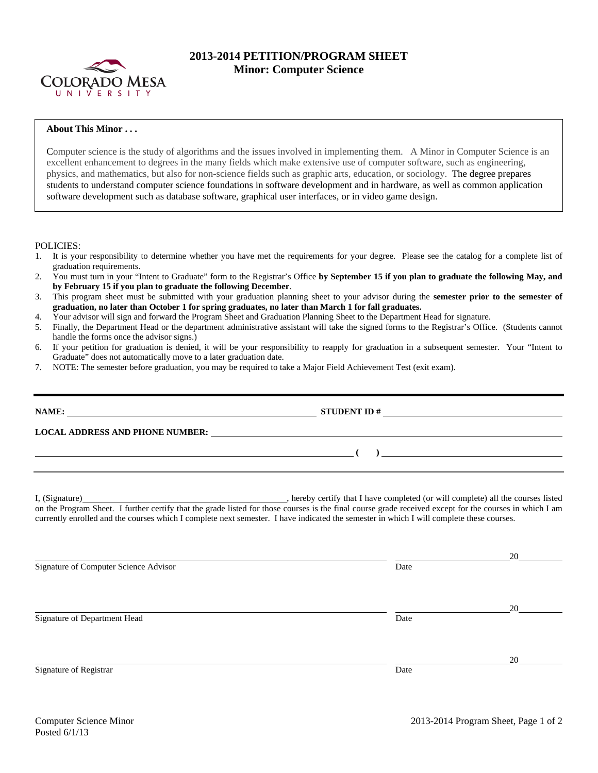

## **2013-2014 PETITION/PROGRAM SHEET Minor: Computer Science**

## **About This Minor . . .**

Computer science is the study of algorithms and the issues involved in implementing them. A Minor in Computer Science is an excellent enhancement to degrees in the many fields which make extensive use of computer software, such as engineering, physics, and mathematics, but also for non-science fields such as graphic arts, education, or sociology. The degree prepares students to understand computer science foundations in software development and in hardware, as well as common application software development such as database software, graphical user interfaces, or in video game design.

POLICIES:

- 1. It is your responsibility to determine whether you have met the requirements for your degree. Please see the catalog for a complete list of graduation requirements.
- 2. You must turn in your "Intent to Graduate" form to the Registrar's Office **by September 15 if you plan to graduate the following May, and by February 15 if you plan to graduate the following December**.
- 3. This program sheet must be submitted with your graduation planning sheet to your advisor during the **semester prior to the semester of graduation, no later than October 1 for spring graduates, no later than March 1 for fall graduates.**
- 4. Your advisor will sign and forward the Program Sheet and Graduation Planning Sheet to the Department Head for signature.
- 5. Finally, the Department Head or the department administrative assistant will take the signed forms to the Registrar's Office. (Students cannot handle the forms once the advisor signs.)
- 6. If your petition for graduation is denied, it will be your responsibility to reapply for graduation in a subsequent semester. Your "Intent to Graduate" does not automatically move to a later graduation date.
- 7. NOTE: The semester before graduation, you may be required to take a Major Field Achievement Test (exit exam).

| LOCAL ADDRESS AND PHONE NUMBER: UNIVERSITY OF A SERIES AND PHONE NUMBER:                                                                                                                                                                                                                            |  |
|-----------------------------------------------------------------------------------------------------------------------------------------------------------------------------------------------------------------------------------------------------------------------------------------------------|--|
| $\left(\begin{array}{c}1\end{array}\right)$                                                                                                                                                                                                                                                         |  |
|                                                                                                                                                                                                                                                                                                     |  |
| on the Program Sheet. I further certify that the grade listed for those courses is the final course grade received except for the courses in which I am<br>currently enrolled and the courses which I complete next semester. I have indicated the semester in which I will complete these courses. |  |

<u>20</u> Signature of Computer Science Advisor Date by the Science Advisor Date by the Science Advisor <u>20</u> Signature of Department Head Date <u>20</u> Signature of Registrar Date **Date** Date of Registrar Date of Registrar Date of Registrar Date of Registrar Date of  $\alpha$